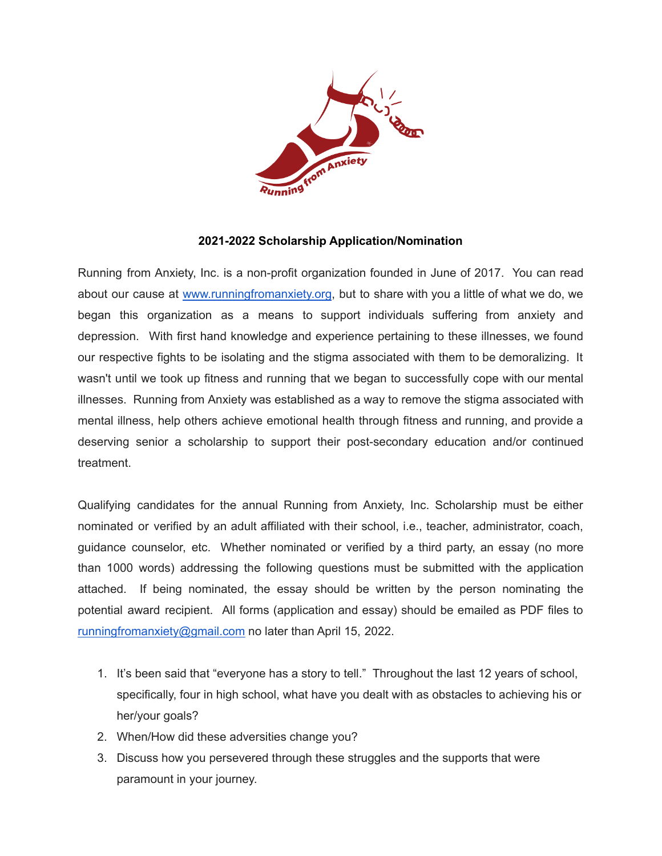

## **2021-2022 Scholarship Application/Nomination**

Running from Anxiety, Inc. is a non-profit organization founded in June of 2017. You can read about our cause at [www.runningfromanxiety.org,](http://www.runningfromanxiety.org/) but to share with you a little of what we do, we began this organization as a means to support individuals suffering from anxiety and depression. With first hand knowledge and experience pertaining to these illnesses, we found our respective fights to be isolating and the stigma associated with them to be demoralizing. It wasn't until we took up fitness and running that we began to successfully cope with our mental illnesses. Running from Anxiety was established as a way to remove the stigma associated with mental illness, help others achieve emotional health through fitness and running, and provide a deserving senior a scholarship to support their post-secondary education and/or continued treatment.

Qualifying candidates for the annual Running from Anxiety, Inc. Scholarship must be either nominated or verified by an adult affiliated with their school, i.e., teacher, administrator, coach, guidance counselor, etc. Whether nominated or verified by a third party, an essay (no more than 1000 words) addressing the following questions must be submitted with the application attached. If being nominated, the essay should be written by the person nominating the potential award recipient. All forms (application and essay) should be emailed as PDF files to [runningfromanxiety@gmail.com](mailto:runningfromanxiety@gmail.com) no later than April 15, 2022.

- 1. It's been said that "everyone has a story to tell." Throughout the last 12 years of school, specifically, four in high school, what have you dealt with as obstacles to achieving his or her/your goals?
- 2. When/How did these adversities change you?
- 3. Discuss how you persevered through these struggles and the supports that were paramount in your journey.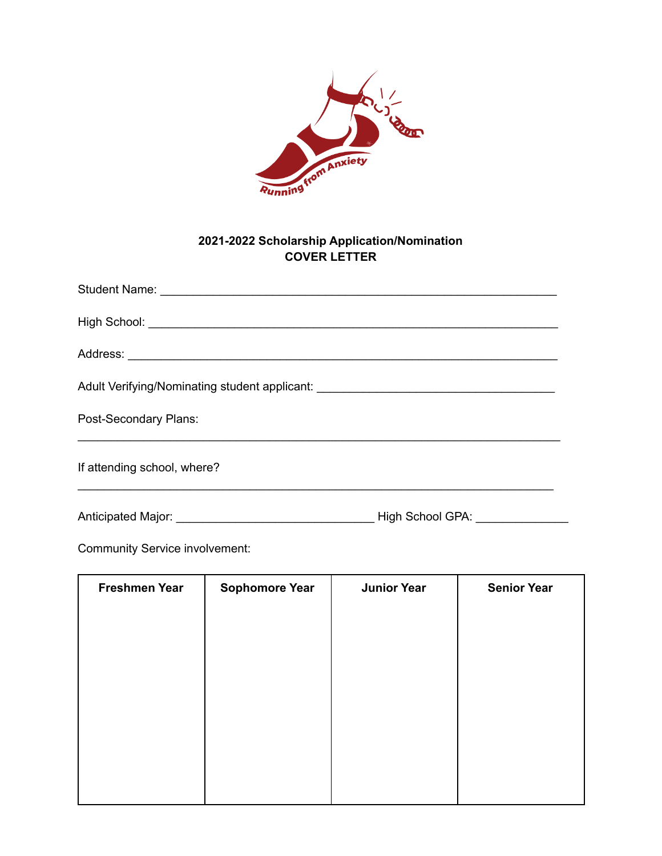

## **2021-2022 Scholarship Application/Nomination COVER LETTER**

| Adult Verifying/Nominating student applicant: __________________________________ |                         |  |
|----------------------------------------------------------------------------------|-------------------------|--|
| Post-Secondary Plans:                                                            |                         |  |
| If attending school, where?                                                      |                         |  |
| Anticipated Major:                                                               | <b>High School GPA:</b> |  |

Community Service involvement:

| <b>Freshmen Year</b> | <b>Sophomore Year</b> | <b>Junior Year</b> | <b>Senior Year</b> |
|----------------------|-----------------------|--------------------|--------------------|
|                      |                       |                    |                    |
|                      |                       |                    |                    |
|                      |                       |                    |                    |
|                      |                       |                    |                    |
|                      |                       |                    |                    |
|                      |                       |                    |                    |
|                      |                       |                    |                    |
|                      |                       |                    |                    |